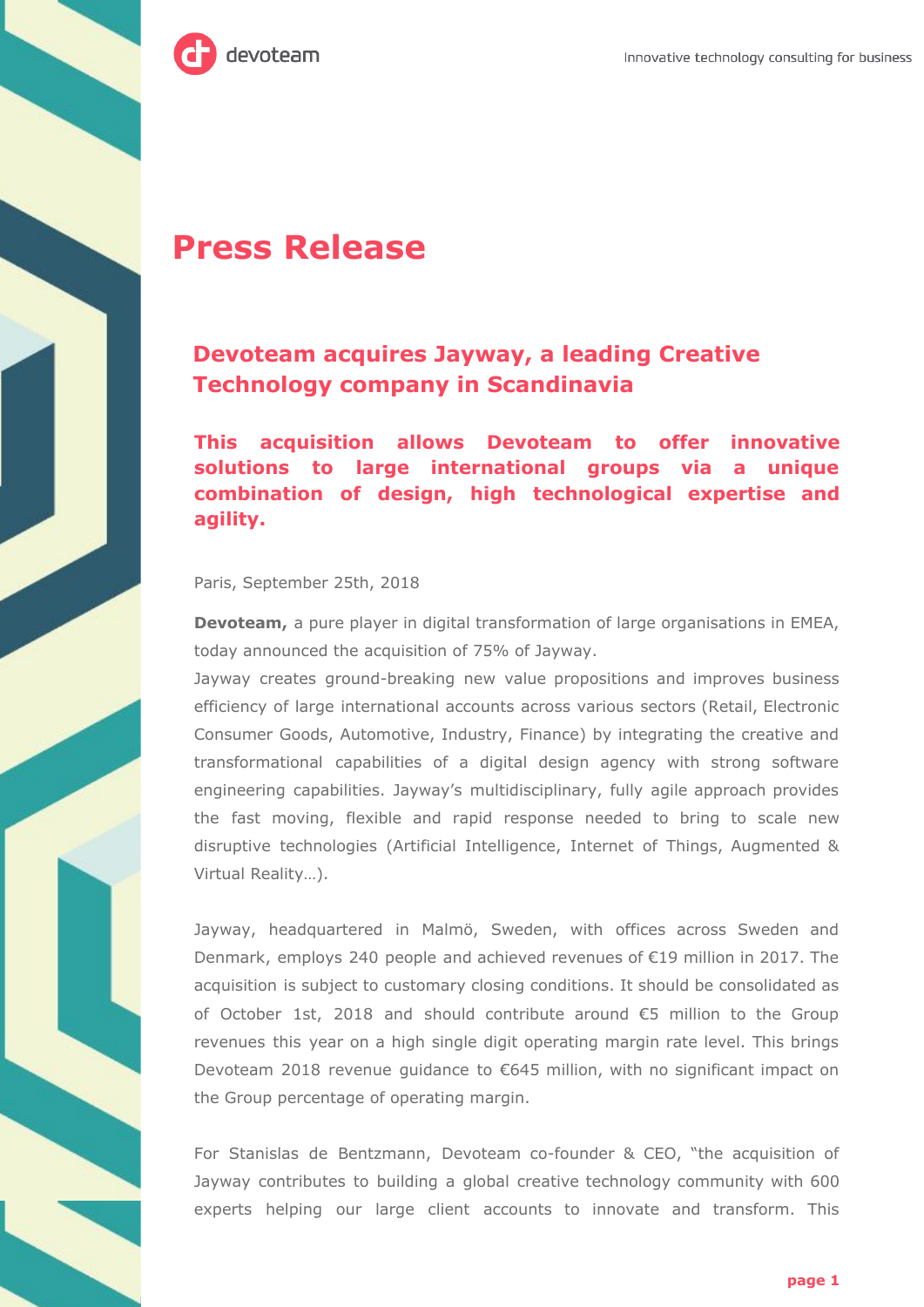

# **Press Release**

## **Devoteam acquires Jayway, a leading Creative Technology company in Scandinavia**

**This acquisition allows Devoteam to offer innovative solutions to large international groups via a unique combination of design, high technological expertise and agility.**

#### Paris, September 25th, 2018

**Devoteam,** a pure player in digital transformation of large organisations in EMEA, today announced the acquisition of 75% of Jayway.

Jayway creates ground-breaking new value propositions and improves business efficiency of large international accounts across various sectors (Retail, Electronic Consumer Goods, Automotive, Industry, Finance) by integrating the creative and transformational capabilities of a digital design agency with strong software engineering capabilities. Jayway's multidisciplinary, fully agile approach provides the fast moving, flexible and rapid response needed to bring to scale new disruptive technologies (Artificial Intelligence, Internet of Things, Augmented & Virtual Reality…).

Jayway, headquartered in Malmö, Sweden, with offices across Sweden and Denmark, employs 240 people and achieved revenues of €19 million in 2017. The acquisition is subject to customary closing conditions. It should be consolidated as of October 1st, 2018 and should contribute around €5 million to the Group revenues this year on a high single digit operating margin rate level. This brings Devoteam 2018 revenue guidance to €645 million, with no significant impact on the Group percentage of operating margin.

For Stanislas de Bentzmann, Devoteam co-founder & CEO, "the acquisition of Jayway contributes to building a global creative technology community with 600 experts helping our large client accounts to innovate and transform. This